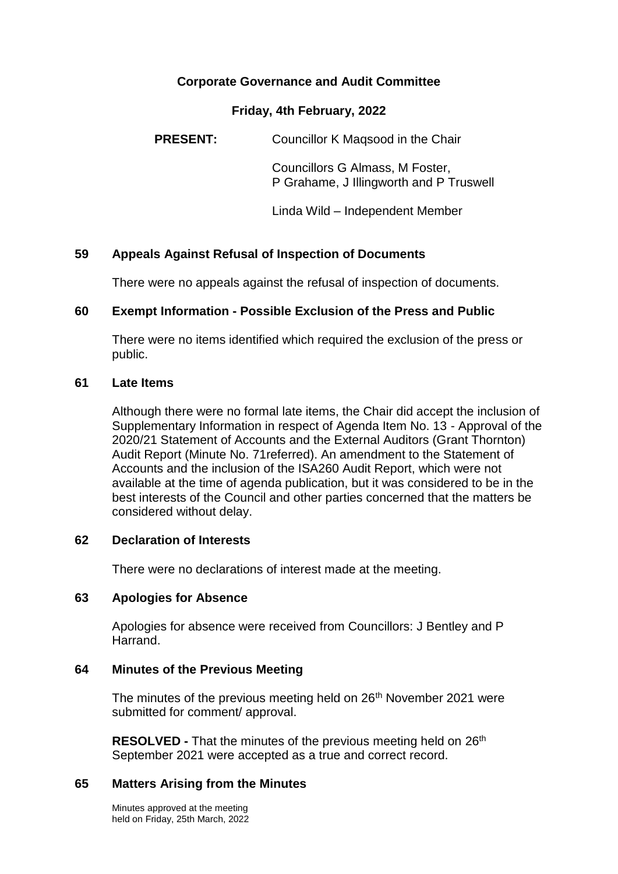## **Corporate Governance and Audit Committee**

#### **Friday, 4th February, 2022**

**PRESENT:** Councillor K Magsood in the Chair

Councillors G Almass, M Foster, P Grahame, J Illingworth and P Truswell

Linda Wild – Independent Member

## **59 Appeals Against Refusal of Inspection of Documents**

There were no appeals against the refusal of inspection of documents.

### **60 Exempt Information - Possible Exclusion of the Press and Public**

There were no items identified which required the exclusion of the press or public.

#### **61 Late Items**

Although there were no formal late items, the Chair did accept the inclusion of Supplementary Information in respect of Agenda Item No. 13 - Approval of the 2020/21 Statement of Accounts and the External Auditors (Grant Thornton) Audit Report (Minute No. 71referred). An amendment to the Statement of Accounts and the inclusion of the ISA260 Audit Report, which were not available at the time of agenda publication, but it was considered to be in the best interests of the Council and other parties concerned that the matters be considered without delay.

### **62 Declaration of Interests**

There were no declarations of interest made at the meeting.

### **63 Apologies for Absence**

Apologies for absence were received from Councillors: J Bentley and P Harrand.

### **64 Minutes of the Previous Meeting**

The minutes of the previous meeting held on 26<sup>th</sup> November 2021 were submitted for comment/ approval.

**RESOLVED -** That the minutes of the previous meeting held on 26<sup>th</sup> September 2021 were accepted as a true and correct record.

### **65 Matters Arising from the Minutes**

Minutes approved at the meeting held on Friday, 25th March, 2022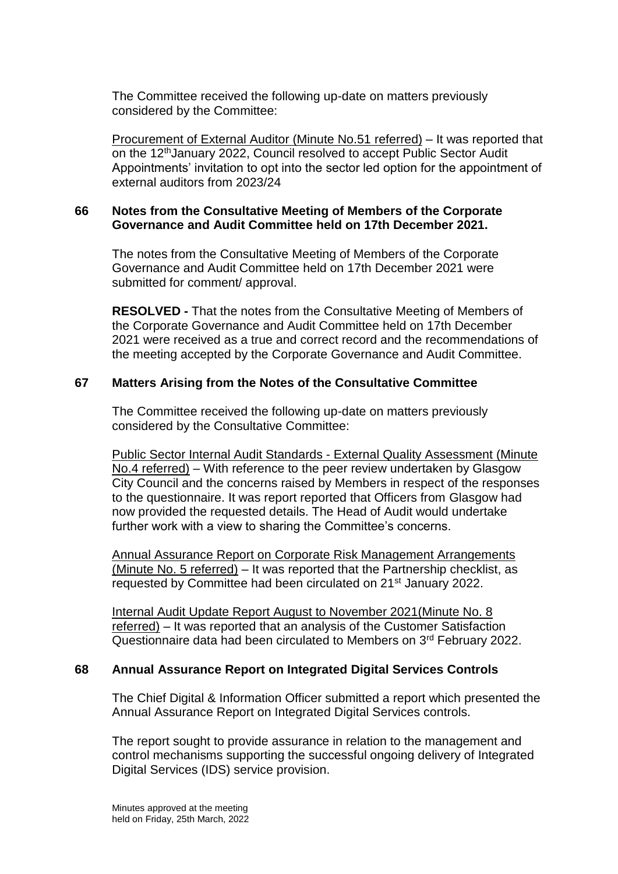The Committee received the following up-date on matters previously considered by the Committee:

Procurement of External Auditor (Minute No.51 referred) – It was reported that on the 12thJanuary 2022, Council resolved to accept Public Sector Audit Appointments' invitation to opt into the sector led option for the appointment of external auditors from 2023/24

## **66 Notes from the Consultative Meeting of Members of the Corporate Governance and Audit Committee held on 17th December 2021.**

The notes from the Consultative Meeting of Members of the Corporate Governance and Audit Committee held on 17th December 2021 were submitted for comment/ approval.

**RESOLVED -** That the notes from the Consultative Meeting of Members of the Corporate Governance and Audit Committee held on 17th December 2021 were received as a true and correct record and the recommendations of the meeting accepted by the Corporate Governance and Audit Committee.

## **67 Matters Arising from the Notes of the Consultative Committee**

The Committee received the following up-date on matters previously considered by the Consultative Committee:

Public Sector Internal Audit Standards - External Quality Assessment (Minute No.4 referred) – With reference to the peer review undertaken by Glasgow City Council and the concerns raised by Members in respect of the responses to the questionnaire. It was report reported that Officers from Glasgow had now provided the requested details. The Head of Audit would undertake further work with a view to sharing the Committee's concerns.

Annual Assurance Report on Corporate Risk Management Arrangements (Minute No. 5 referred) – It was reported that the Partnership checklist, as requested by Committee had been circulated on 21st January 2022.

Internal Audit Update Report August to November 2021(Minute No. 8 referred) – It was reported that an analysis of the Customer Satisfaction Questionnaire data had been circulated to Members on 3rd February 2022.

# **68 Annual Assurance Report on Integrated Digital Services Controls**

The Chief Digital & Information Officer submitted a report which presented the Annual Assurance Report on Integrated Digital Services controls.

The report sought to provide assurance in relation to the management and control mechanisms supporting the successful ongoing delivery of Integrated Digital Services (IDS) service provision.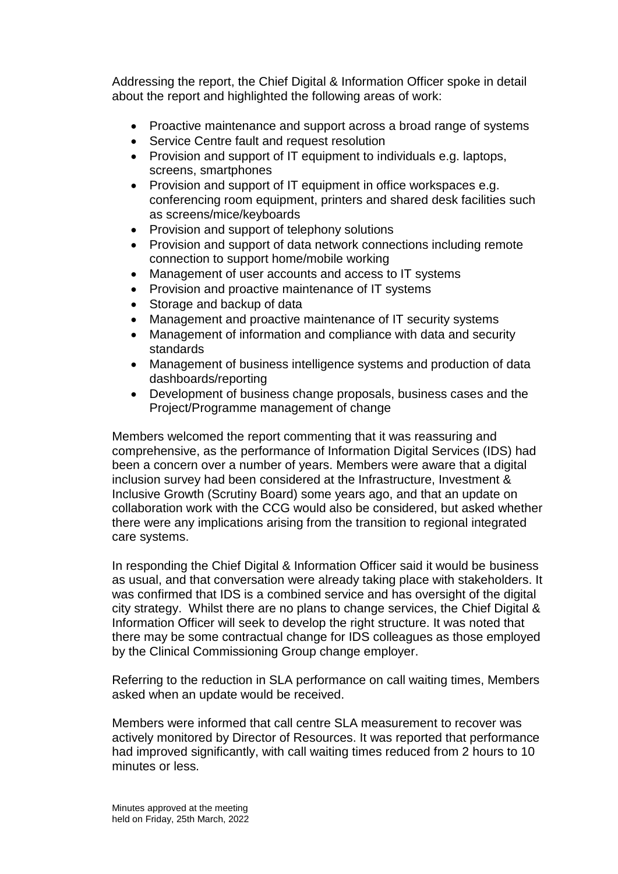Addressing the report, the Chief Digital & Information Officer spoke in detail about the report and highlighted the following areas of work:

- Proactive maintenance and support across a broad range of systems
- Service Centre fault and request resolution
- Provision and support of IT equipment to individuals e.g. laptops, screens, smartphones
- Provision and support of IT equipment in office workspaces e.g. conferencing room equipment, printers and shared desk facilities such as screens/mice/keyboards
- Provision and support of telephony solutions
- Provision and support of data network connections including remote connection to support home/mobile working
- Management of user accounts and access to IT systems
- Provision and proactive maintenance of IT systems
- Storage and backup of data
- Management and proactive maintenance of IT security systems
- Management of information and compliance with data and security standards
- Management of business intelligence systems and production of data dashboards/reporting
- Development of business change proposals, business cases and the Project/Programme management of change

Members welcomed the report commenting that it was reassuring and comprehensive, as the performance of Information Digital Services (IDS) had been a concern over a number of years. Members were aware that a digital inclusion survey had been considered at the Infrastructure, Investment & Inclusive Growth (Scrutiny Board) some years ago, and that an update on collaboration work with the CCG would also be considered, but asked whether there were any implications arising from the transition to regional integrated care systems.

In responding the Chief Digital & Information Officer said it would be business as usual, and that conversation were already taking place with stakeholders. It was confirmed that IDS is a combined service and has oversight of the digital city strategy. Whilst there are no plans to change services, the Chief Digital & Information Officer will seek to develop the right structure. It was noted that there may be some contractual change for IDS colleagues as those employed by the Clinical Commissioning Group change employer.

Referring to the reduction in SLA performance on call waiting times, Members asked when an update would be received.

Members were informed that call centre SLA measurement to recover was actively monitored by Director of Resources. It was reported that performance had improved significantly, with call waiting times reduced from 2 hours to 10 minutes or less.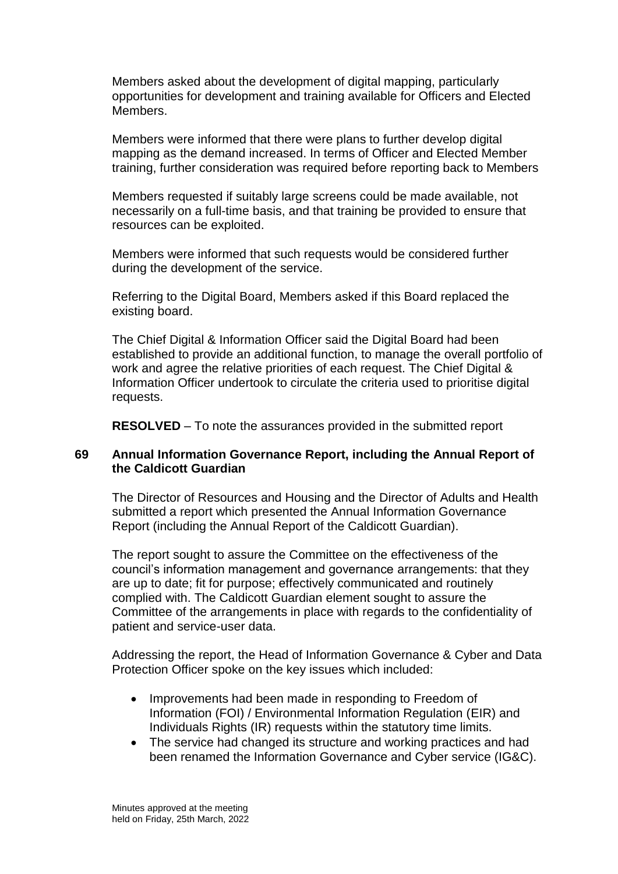Members asked about the development of digital mapping, particularly opportunities for development and training available for Officers and Elected Members.

Members were informed that there were plans to further develop digital mapping as the demand increased. In terms of Officer and Elected Member training, further consideration was required before reporting back to Members

Members requested if suitably large screens could be made available, not necessarily on a full-time basis, and that training be provided to ensure that resources can be exploited.

Members were informed that such requests would be considered further during the development of the service.

Referring to the Digital Board, Members asked if this Board replaced the existing board.

The Chief Digital & Information Officer said the Digital Board had been established to provide an additional function, to manage the overall portfolio of work and agree the relative priorities of each request. The Chief Digital & Information Officer undertook to circulate the criteria used to prioritise digital requests.

**RESOLVED** – To note the assurances provided in the submitted report

#### **69 Annual Information Governance Report, including the Annual Report of the Caldicott Guardian**

The Director of Resources and Housing and the Director of Adults and Health submitted a report which presented the Annual Information Governance Report (including the Annual Report of the Caldicott Guardian).

The report sought to assure the Committee on the effectiveness of the council's information management and governance arrangements: that they are up to date; fit for purpose; effectively communicated and routinely complied with. The Caldicott Guardian element sought to assure the Committee of the arrangements in place with regards to the confidentiality of patient and service-user data.

Addressing the report, the Head of Information Governance & Cyber and Data Protection Officer spoke on the key issues which included:

- Improvements had been made in responding to Freedom of Information (FOI) / Environmental Information Regulation (EIR) and Individuals Rights (IR) requests within the statutory time limits.
- The service had changed its structure and working practices and had been renamed the Information Governance and Cyber service (IG&C).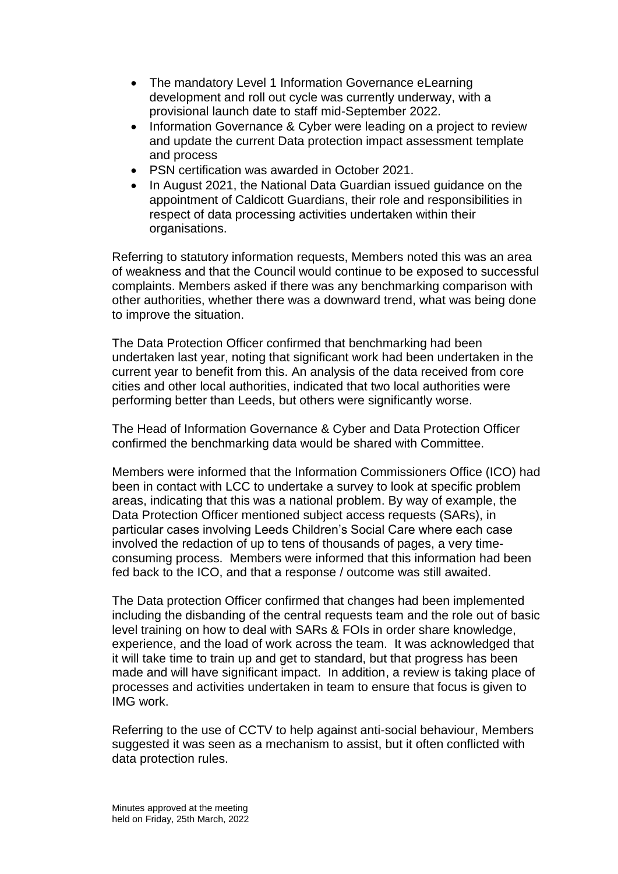- The mandatory Level 1 Information Governance eLearning development and roll out cycle was currently underway, with a provisional launch date to staff mid-September 2022.
- Information Governance & Cyber were leading on a project to review and update the current Data protection impact assessment template and process
- PSN certification was awarded in October 2021.
- In August 2021, the National Data Guardian issued guidance on the appointment of Caldicott Guardians, their role and responsibilities in respect of data processing activities undertaken within their organisations.

Referring to statutory information requests, Members noted this was an area of weakness and that the Council would continue to be exposed to successful complaints. Members asked if there was any benchmarking comparison with other authorities, whether there was a downward trend, what was being done to improve the situation.

The Data Protection Officer confirmed that benchmarking had been undertaken last year, noting that significant work had been undertaken in the current year to benefit from this. An analysis of the data received from core cities and other local authorities, indicated that two local authorities were performing better than Leeds, but others were significantly worse.

The Head of Information Governance & Cyber and Data Protection Officer confirmed the benchmarking data would be shared with Committee.

Members were informed that the Information Commissioners Office (ICO) had been in contact with LCC to undertake a survey to look at specific problem areas, indicating that this was a national problem. By way of example, the Data Protection Officer mentioned subject access requests (SARs), in particular cases involving Leeds Children's Social Care where each case involved the redaction of up to tens of thousands of pages, a very timeconsuming process. Members were informed that this information had been fed back to the ICO, and that a response / outcome was still awaited.

The Data protection Officer confirmed that changes had been implemented including the disbanding of the central requests team and the role out of basic level training on how to deal with SARs & FOIs in order share knowledge, experience, and the load of work across the team. It was acknowledged that it will take time to train up and get to standard, but that progress has been made and will have significant impact. In addition, a review is taking place of processes and activities undertaken in team to ensure that focus is given to IMG work.

Referring to the use of CCTV to help against anti-social behaviour, Members suggested it was seen as a mechanism to assist, but it often conflicted with data protection rules.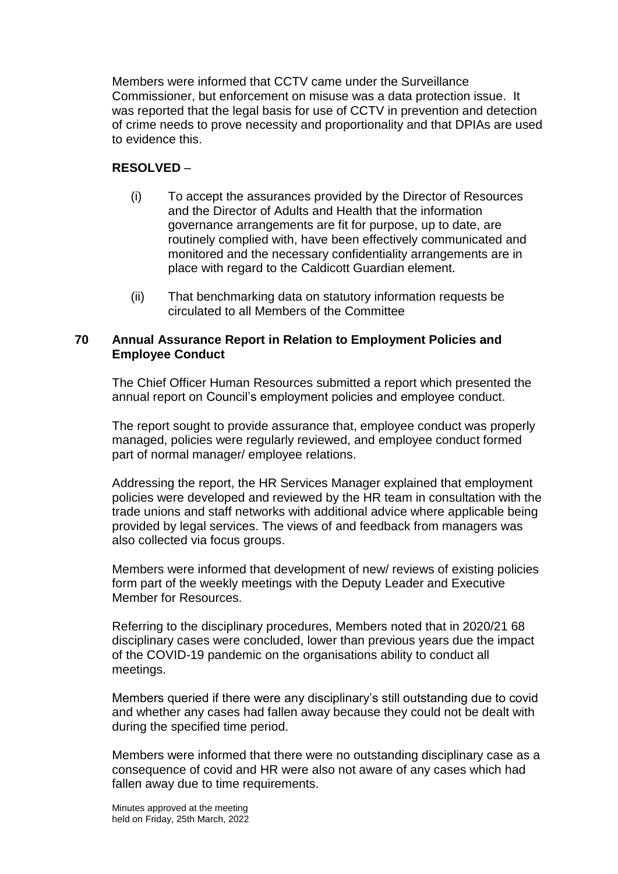Members were informed that CCTV came under the Surveillance Commissioner, but enforcement on misuse was a data protection issue. It was reported that the legal basis for use of CCTV in prevention and detection of crime needs to prove necessity and proportionality and that DPIAs are used to evidence this.

# **RESOLVED** –

- (i) To accept the assurances provided by the Director of Resources and the Director of Adults and Health that the information governance arrangements are fit for purpose, up to date, are routinely complied with, have been effectively communicated and monitored and the necessary confidentiality arrangements are in place with regard to the Caldicott Guardian element.
- (ii) That benchmarking data on statutory information requests be circulated to all Members of the Committee

### **70 Annual Assurance Report in Relation to Employment Policies and Employee Conduct**

The Chief Officer Human Resources submitted a report which presented the annual report on Council's employment policies and employee conduct.

The report sought to provide assurance that, employee conduct was properly managed, policies were regularly reviewed, and employee conduct formed part of normal manager/ employee relations.

Addressing the report, the HR Services Manager explained that employment policies were developed and reviewed by the HR team in consultation with the trade unions and staff networks with additional advice where applicable being provided by legal services. The views of and feedback from managers was also collected via focus groups.

Members were informed that development of new/ reviews of existing policies form part of the weekly meetings with the Deputy Leader and Executive Member for Resources.

Referring to the disciplinary procedures, Members noted that in 2020/21 68 disciplinary cases were concluded, lower than previous years due the impact of the COVID-19 pandemic on the organisations ability to conduct all meetings.

Members queried if there were any disciplinary's still outstanding due to covid and whether any cases had fallen away because they could not be dealt with during the specified time period.

Members were informed that there were no outstanding disciplinary case as a consequence of covid and HR were also not aware of any cases which had fallen away due to time requirements.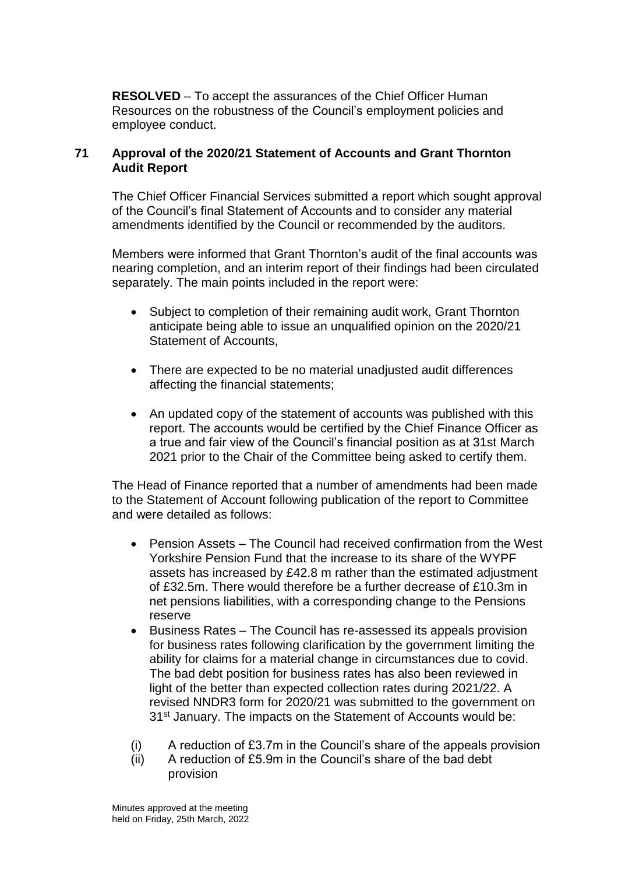**RESOLVED** – To accept the assurances of the Chief Officer Human Resources on the robustness of the Council's employment policies and employee conduct.

## **71 Approval of the 2020/21 Statement of Accounts and Grant Thornton Audit Report**

The Chief Officer Financial Services submitted a report which sought approval of the Council's final Statement of Accounts and to consider any material amendments identified by the Council or recommended by the auditors.

Members were informed that Grant Thornton's audit of the final accounts was nearing completion, and an interim report of their findings had been circulated separately. The main points included in the report were:

- Subject to completion of their remaining audit work, Grant Thornton anticipate being able to issue an unqualified opinion on the 2020/21 Statement of Accounts,
- There are expected to be no material unadjusted audit differences affecting the financial statements;
- An updated copy of the statement of accounts was published with this report. The accounts would be certified by the Chief Finance Officer as a true and fair view of the Council's financial position as at 31st March 2021 prior to the Chair of the Committee being asked to certify them.

The Head of Finance reported that a number of amendments had been made to the Statement of Account following publication of the report to Committee and were detailed as follows:

- Pension Assets The Council had received confirmation from the West Yorkshire Pension Fund that the increase to its share of the WYPF assets has increased by £42.8 m rather than the estimated adjustment of £32.5m. There would therefore be a further decrease of £10.3m in net pensions liabilities, with a corresponding change to the Pensions reserve
- Business Rates The Council has re-assessed its appeals provision for business rates following clarification by the government limiting the ability for claims for a material change in circumstances due to covid. The bad debt position for business rates has also been reviewed in light of the better than expected collection rates during 2021/22. A revised NNDR3 form for 2020/21 was submitted to the government on 31st January. The impacts on the Statement of Accounts would be:
- (i) A reduction of £3.7m in the Council's share of the appeals provision
- (ii) A reduction of £5.9m in the Council's share of the bad debt provision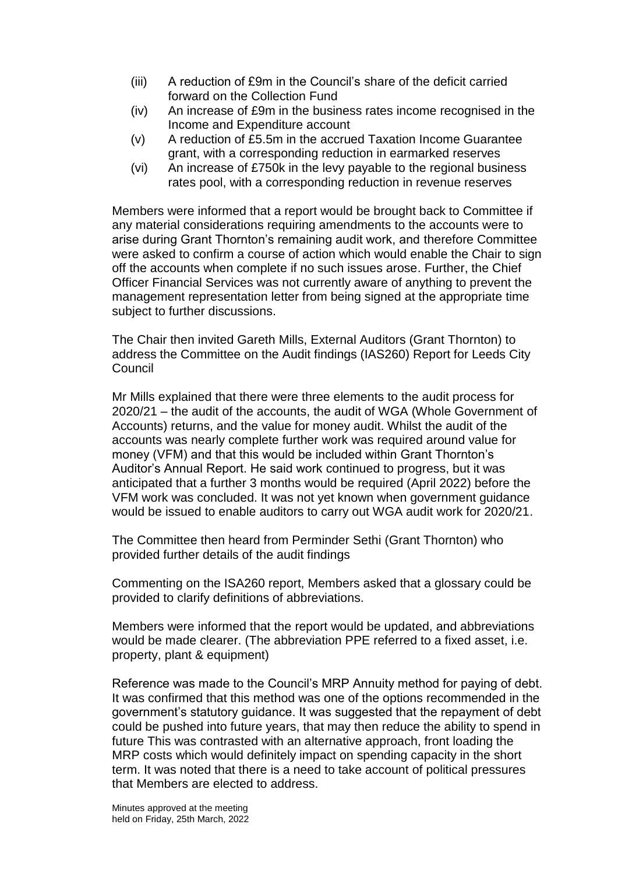- (iii) A reduction of £9m in the Council's share of the deficit carried forward on the Collection Fund
- (iv) An increase of £9m in the business rates income recognised in the Income and Expenditure account
- (v) A reduction of £5.5m in the accrued Taxation Income Guarantee grant, with a corresponding reduction in earmarked reserves
- (vi) An increase of £750k in the levy payable to the regional business rates pool, with a corresponding reduction in revenue reserves

Members were informed that a report would be brought back to Committee if any material considerations requiring amendments to the accounts were to arise during Grant Thornton's remaining audit work, and therefore Committee were asked to confirm a course of action which would enable the Chair to sign off the accounts when complete if no such issues arose. Further, the Chief Officer Financial Services was not currently aware of anything to prevent the management representation letter from being signed at the appropriate time subject to further discussions.

The Chair then invited Gareth Mills, External Auditors (Grant Thornton) to address the Committee on the Audit findings (IAS260) Report for Leeds City Council

Mr Mills explained that there were three elements to the audit process for 2020/21 – the audit of the accounts, the audit of WGA (Whole Government of Accounts) returns, and the value for money audit. Whilst the audit of the accounts was nearly complete further work was required around value for money (VFM) and that this would be included within Grant Thornton's Auditor's Annual Report. He said work continued to progress, but it was anticipated that a further 3 months would be required (April 2022) before the VFM work was concluded. It was not yet known when government guidance would be issued to enable auditors to carry out WGA audit work for 2020/21.

The Committee then heard from Perminder Sethi (Grant Thornton) who provided further details of the audit findings

Commenting on the ISA260 report, Members asked that a glossary could be provided to clarify definitions of abbreviations.

Members were informed that the report would be updated, and abbreviations would be made clearer. (The abbreviation PPE referred to a fixed asset, i.e. property, plant & equipment)

Reference was made to the Council's MRP Annuity method for paying of debt. It was confirmed that this method was one of the options recommended in the government's statutory guidance. It was suggested that the repayment of debt could be pushed into future years, that may then reduce the ability to spend in future This was contrasted with an alternative approach, front loading the MRP costs which would definitely impact on spending capacity in the short term. It was noted that there is a need to take account of political pressures that Members are elected to address.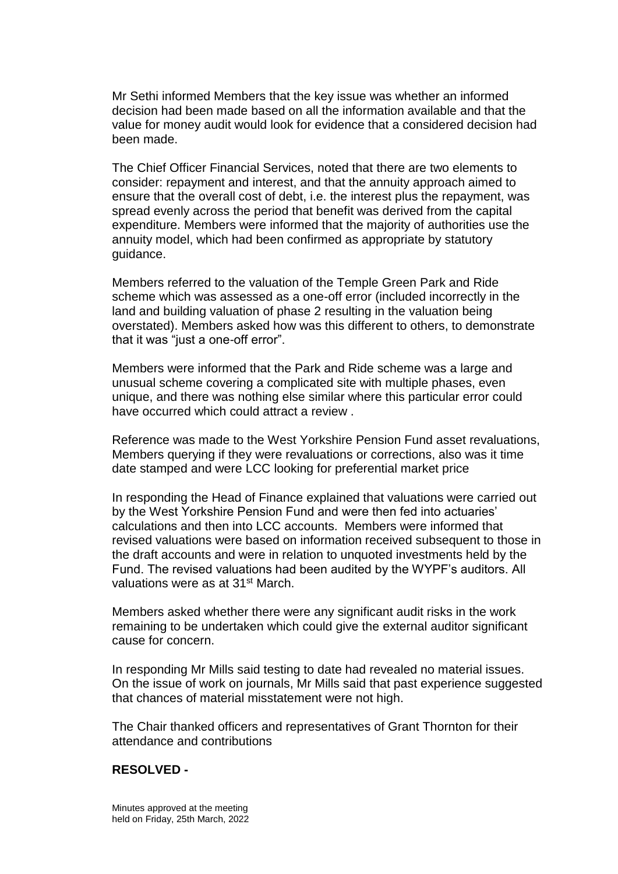Mr Sethi informed Members that the key issue was whether an informed decision had been made based on all the information available and that the value for money audit would look for evidence that a considered decision had been made.

The Chief Officer Financial Services, noted that there are two elements to consider: repayment and interest, and that the annuity approach aimed to ensure that the overall cost of debt, i.e. the interest plus the repayment, was spread evenly across the period that benefit was derived from the capital expenditure. Members were informed that the majority of authorities use the annuity model, which had been confirmed as appropriate by statutory guidance.

Members referred to the valuation of the Temple Green Park and Ride scheme which was assessed as a one-off error (included incorrectly in the land and building valuation of phase 2 resulting in the valuation being overstated). Members asked how was this different to others, to demonstrate that it was "just a one-off error".

Members were informed that the Park and Ride scheme was a large and unusual scheme covering a complicated site with multiple phases, even unique, and there was nothing else similar where this particular error could have occurred which could attract a review .

Reference was made to the West Yorkshire Pension Fund asset revaluations, Members querying if they were revaluations or corrections, also was it time date stamped and were LCC looking for preferential market price

In responding the Head of Finance explained that valuations were carried out by the West Yorkshire Pension Fund and were then fed into actuaries' calculations and then into LCC accounts. Members were informed that revised valuations were based on information received subsequent to those in the draft accounts and were in relation to unquoted investments held by the Fund. The revised valuations had been audited by the WYPF's auditors. All valuations were as at 31st March.

Members asked whether there were any significant audit risks in the work remaining to be undertaken which could give the external auditor significant cause for concern.

In responding Mr Mills said testing to date had revealed no material issues. On the issue of work on journals, Mr Mills said that past experience suggested that chances of material misstatement were not high.

The Chair thanked officers and representatives of Grant Thornton for their attendance and contributions

### **RESOLVED -**